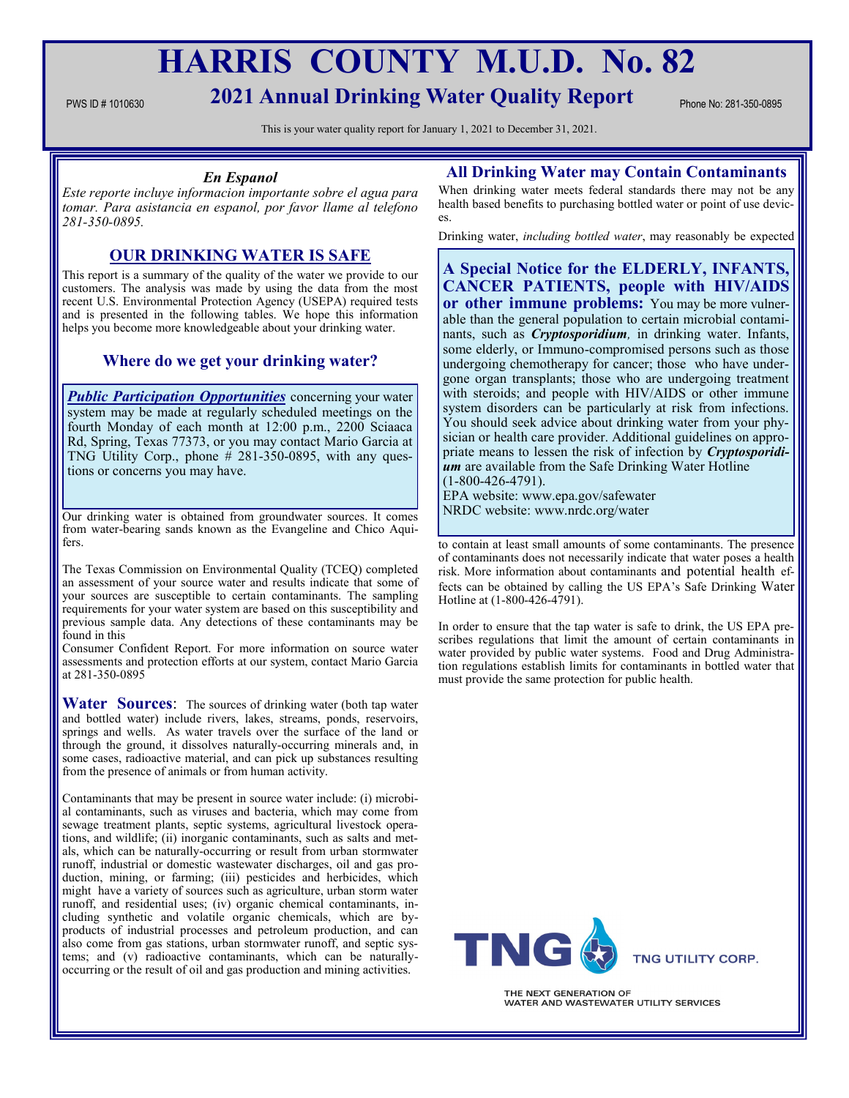# **HARRIS COUNTY M.U.D. No. 82**

# PWS ID # 1010630 **2021 Annual Drinking Water Quality Report** Phone No: 281-350-0895

This is your water quality report for January 1, 2021 to December 31, 2021.

## *En Espanol*

*Este reporte incluye informacion importante sobre el agua para tomar. Para asistancia en espanol, por favor llame al telefono 281-350-0895.*

# **OUR DRINKING WATER IS SAFE**

This report is a summary of the quality of the water we provide to our customers. The analysis was made by using the data from the most recent U.S. Environmental Protection Agency (USEPA) required tests and is presented in the following tables. We hope this information helps you become more knowledgeable about your drinking water.

# **Where do we get your drinking water?**

*Public Participation Opportunities* concerning your water system may be made at regularly scheduled meetings on the fourth Monday of each month at 12:00 p.m., 2200 Sciaaca Rd, Spring, Texas 77373, or you may contact Mario Garcia at TNG Utility Corp., phone  $\#$  281-350-0895, with any questions or concerns you may have.

Our drinking water is obtained from groundwater sources. It comes from water-bearing sands known as the Evangeline and Chico Aquifers.

The Texas Commission on Environmental Quality (TCEQ) completed an assessment of your source water and results indicate that some of your sources are susceptible to certain contaminants. The sampling requirements for your water system are based on this susceptibility and previous sample data. Any detections of these contaminants may be found in this

Consumer Confident Report. For more information on source water assessments and protection efforts at our system, contact Mario Garcia at 281-350-0895

Water Sources: The sources of drinking water (both tap water and bottled water) include rivers, lakes, streams, ponds, reservoirs, springs and wells. As water travels over the surface of the land or through the ground, it dissolves naturally-occurring minerals and, in some cases, radioactive material, and can pick up substances resulting from the presence of animals or from human activity.

Contaminants that may be present in source water include: (i) microbial contaminants, such as viruses and bacteria, which may come from sewage treatment plants, septic systems, agricultural livestock operations, and wildlife; (ii) inorganic contaminants, such as salts and metals, which can be naturally-occurring or result from urban stormwater runoff, industrial or domestic wastewater discharges, oil and gas production, mining, or farming; (iii) pesticides and herbicides, which might have a variety of sources such as agriculture, urban storm water runoff, and residential uses; (iv) organic chemical contaminants, including synthetic and volatile organic chemicals, which are byproducts of industrial processes and petroleum production, and can also come from gas stations, urban stormwater runoff, and septic systems; and (v) radioactive contaminants, which can be naturallyoccurring or the result of oil and gas production and mining activities.

# **All Drinking Water may Contain Contaminants**

When drinking water meets federal standards there may not be any health based benefits to purchasing bottled water or point of use devices.

Drinking water, *including bottled water*, may reasonably be expected

**A Special Notice for the ELDERLY, INFANTS, CANCER PATIENTS, people with HIV/AIDS or other immune problems:** You may be more vulnerable than the general population to certain microbial contaminants, such as *Cryptosporidium,* in drinking water. Infants, some elderly, or Immuno-compromised persons such as those undergoing chemotherapy for cancer; those who have undergone organ transplants; those who are undergoing treatment with steroids; and people with HIV/AIDS or other immune system disorders can be particularly at risk from infections. You should seek advice about drinking water from your physician or health care provider. Additional guidelines on appropriate means to lessen the risk of infection by *Cryptosporidium* are available from the Safe Drinking Water Hotline (1-800-426-4791).

EPA website: www.epa.gov/safewater NRDC website: www.nrdc.org/water

to contain at least small amounts of some contaminants. The presence of contaminants does not necessarily indicate that water poses a health risk. More information about contaminants and potential health effects can be obtained by calling the US EPA's Safe Drinking Water Hotline at (1-800-426-4791).

In order to ensure that the tap water is safe to drink, the US EPA prescribes regulations that limit the amount of certain contaminants in water provided by public water systems. Food and Drug Administration regulations establish limits for contaminants in bottled water that must provide the same protection for public health.



THE NEXT GENERATION OF WATER AND WASTEWATER UTILITY SERVICES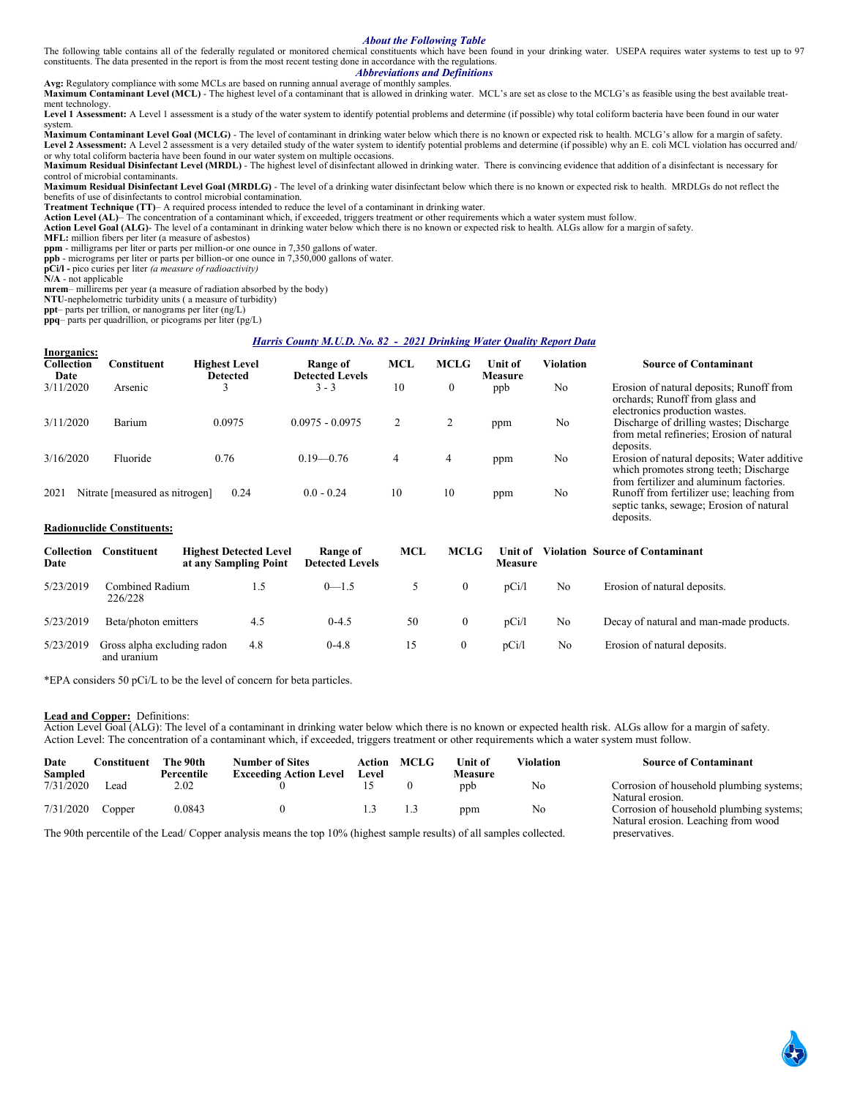#### *About the Following Table*

The following table contains all of the federally regulated or monitored chemical constituents which have been found in your drinking water. USEPA requires water systems to test up to 97 constituents. The data presented in the report is from the most recent testing done in accordance with the regulations.

## *Abbreviations and Definitions*

**Avg:** Regulatory compliance with some MCLs are based on running annual average of monthly samples. **Maximum Contaminant Level (MCL)** - The highest level of a contaminant that is allowed in drinking water. MCL's are set as close to the MCLG's as feasible using the best available treatment technology.

Level 1 Assessment: A Level 1 assessment is a study of the water system to identify potential problems and determine (if possible) why total coliform bacteria have been found in our water system.

**Maximum Contaminant Level Goal (MCLG)** - The level of contaminant in drinking water below which there is no known or expected risk to health. MCLG's allow for a margin of safety. Level 2 Assessment: A Level 2 assessment is a very detailed study of the water system to identify potential problems and determine (if possible) why an E. coli MCL violation has occurred and/ or why total coliform bacteria have been found in our water system on multiple occasions.

**Maximum Residual Disinfectant Level (MRDL)** - The highest level of disinfectant allowed in drinking water. There is convincing evidence that addition of a disinfectant is necessary for control of microbial contaminants.

**Maximum Residual Disinfectant Level Goal (MRDLG)** - The level of a drinking water disinfectant below which there is no known or expected risk to health. MRDLGs do not reflect the benefits of use of disinfectants to control microbial contamination.

**Treatment Technique (TT)**– A required process intended to reduce the level of a contaminant in drinking water.

Action Level (AL)– The concentration of a contaminant which, if exceeded, triggers treatment or other requirements which a water system must follow.<br>Action Level Goal (ALG)- The level of a contaminant in drinking water bel

deposits.

**MFL:** million fibers per liter (a measure of asbestos)

**ppm** - milligrams per liter or parts per million-or one ounce in 7,350 gallons of water.

**ppb** - micrograms per liter or parts per billion-or one ounce in 7,350,000 gallons of water. **pCi/l -** pico curies per liter *(a measure of radioactivity)* 

**N/A** - not applicable

**mrem**– millirems per year (a measure of radiation absorbed by the body)

**NTU**-nephelometric turbidity units ( a measure of turbidity)

**ppt**– parts per trillion, or nanograms per liter (ng/L)

**ppq**– parts per quadrillion, or picograms per liter (pg/L)

#### *Harris County M.U.D. No. 82 - 2021 Drinking Water Quality Report Data*

| Inorganics:<br>Collection<br>Date | 7onstituent                    | <b>Highest Level</b><br>Detected | Range of<br><b>Detected Levels</b> | <b>MCL</b> | <b>MCLG</b>  | <b>Unit of</b><br><b>Measure</b> | Violation | <b>Source of Contaminant</b>                                                                                                     |
|-----------------------------------|--------------------------------|----------------------------------|------------------------------------|------------|--------------|----------------------------------|-----------|----------------------------------------------------------------------------------------------------------------------------------|
| 3/11/2020                         | Arsenic                        |                                  | $3 - 3$                            | 10         | $\mathbf{0}$ | ppb                              | No        | Erosion of natural deposits; Runoff from<br>orchards; Runoff from glass and<br>electronics production wastes.                    |
| 3/11/2020                         | Barium                         | 0.0975                           | $0.0975 - 0.0975$                  |            |              | ppm                              | No        | Discharge of drilling wastes; Discharge<br>from metal refineries; Erosion of natural<br>deposits.                                |
| 3/16/2020                         | Fluoride                       | 0.76                             | $0.19 - 0.76$                      | 4          | 4            | ppm                              | No        | Erosion of natural deposits; Water additive<br>which promotes strong teeth; Discharge<br>from fertilizer and aluminum factories. |
| 2021                              | Nitrate [measured as nitrogen] | 0.24                             | $0.0 - 0.24$                       | 10         | 10           | ppm                              | No        | Runoff from fertilizer use; leaching from<br>septic tanks, sewage; Erosion of natural                                            |

#### **Radionuclide Constituents:**

| Collection<br>Date | Constituent                                | <b>Highest Detected Level</b><br>at any Sampling Point | Range of<br><b>Detected Levels</b> | MCL | <b>MCLG</b>  | Unit of<br><b>Measure</b> |    | <b>Violation Source of Contaminant</b>  |
|--------------------|--------------------------------------------|--------------------------------------------------------|------------------------------------|-----|--------------|---------------------------|----|-----------------------------------------|
| 5/23/2019          | Combined Radium<br>226/228                 |                                                        | $0 - 1.5$                          |     | 0            | pCi/l                     | No | Erosion of natural deposits.            |
| 5/23/2019          | Beta/photon emitters                       | 4.5                                                    | $0-4.5$                            | 50  | $\mathbf{0}$ | pCi/1                     | No | Decay of natural and man-made products. |
| 5/23/2019          | Gross alpha excluding radon<br>and uranium | 4.8                                                    | $0-4.8$                            |     | 0            | pCi/1                     | No | Erosion of natural deposits.            |

\*EPA considers 50 pCi/L to be the level of concern for beta particles.

#### **Lead and Copper:** Definitions:

Action Level Goal (ALG): The level of a contaminant in drinking water below which there is no known or expected health risk. ALGs allow for a margin of safety. Action Level: The concentration of a contaminant which, if exceeded, triggers treatment or other requirements which a water system must follow.

| Date<br>Sampled | Constituent | The 90th<br>Percentile | <b>Number of Sites</b><br><b>Exceeding Action Level</b> | Action<br>Level | <b>MCLG</b> | Unit of<br>Measure | Violation | <b>Source of Contaminant</b>                                                    |
|-----------------|-------------|------------------------|---------------------------------------------------------|-----------------|-------------|--------------------|-----------|---------------------------------------------------------------------------------|
| 7/31/2020       | ead         | 2.02                   |                                                         |                 |             | ppb                | No        | Corrosion of household plumbing systems;<br>Natural erosion.                    |
| 7/31/2020       | Copper      | 0.0843                 |                                                         |                 |             | ppm                | No        | Corrosion of household plumbing systems;<br>Natural erosion. Leaching from wood |

The 90th percentile of the Lead/ Copper analysis means the top 10% (highest sample results) of all samples collected. preservatives.